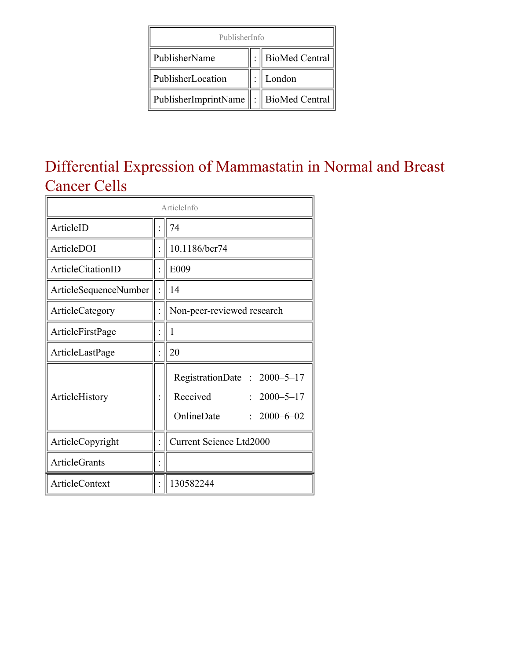| PublisherInfo                               |  |                     |  |  |  |  |
|---------------------------------------------|--|---------------------|--|--|--|--|
| PublisherName                               |  | :    BioMed Central |  |  |  |  |
| PublisherLocation                           |  | London              |  |  |  |  |
| PublisherImprintName    :    BioMed Central |  |                     |  |  |  |  |

### Differential Expression of Mammastatin in Normal and Breast Cancer Cells

| ArticleInfo           |  |                                                                                                 |  |  |  |
|-----------------------|--|-------------------------------------------------------------------------------------------------|--|--|--|
| ArticleID             |  | 74                                                                                              |  |  |  |
| ArticleDOI            |  | 10.1186/bcr74                                                                                   |  |  |  |
| ArticleCitationID     |  | E009                                                                                            |  |  |  |
| ArticleSequenceNumber |  | 14                                                                                              |  |  |  |
| ArticleCategory       |  | Non-peer-reviewed research                                                                      |  |  |  |
| ArticleFirstPage      |  | 1                                                                                               |  |  |  |
| ArticleLastPage       |  | 20                                                                                              |  |  |  |
| ArticleHistory        |  | RegistrationDate: 2000-5-17<br>Received<br>$: 2000 - 5 - 17$<br>OnlineDate<br>$: 2000 - 6 - 02$ |  |  |  |
| ArticleCopyright      |  | Current Science Ltd2000                                                                         |  |  |  |
| <b>ArticleGrants</b>  |  |                                                                                                 |  |  |  |
| <b>ArticleContext</b> |  | 130582244                                                                                       |  |  |  |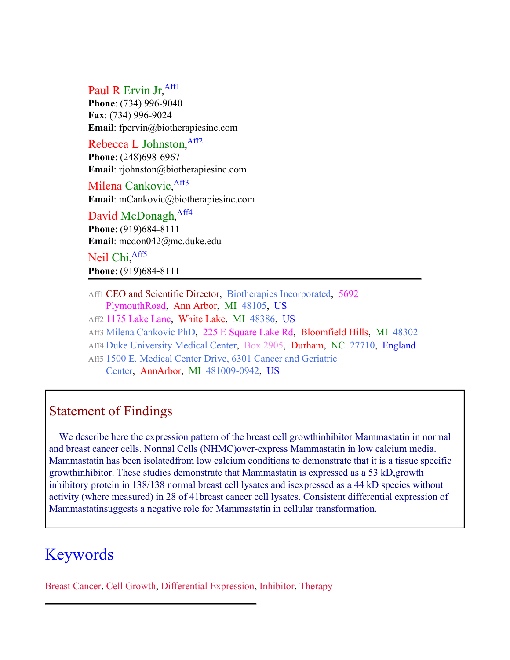#### Paul R Ervin Jr, Affl

**Phone**: (734) 996-9040 **Fax**: (734) 996-9024 **Email**: fpervin@biotherapiesinc.com

#### Rebecca L Johnston, [Aff2](#page-1-0)

**Phone**: (248)698-6967 **Email**: rjohnston@biotherapiesinc.com

Milena Cankovic, [Aff3](#page-1-0) **Email**: mCankovic@biotherapiesinc.com

#### David McDonagh, [Aff4](#page-1-0) **Phone**: (919)684-8111

**Email**: mcdon042@mc.duke.edu

Neil Chi, [Aff5](#page-1-0) **Phone**: (919)684-8111

<span id="page-1-0"></span>Aff1 CEO and Scientific Director, Biotherapies Incorporated, 5692 PlymouthRoad, Ann Arbor, MI 48105, US

Aff2 1175 Lake Lane, White Lake, MI 48386, US

Aff3 Milena Cankovic PhD, 225 E Square Lake Rd, Bloomfield Hills, MI 48302

Aff4 Duke University Medical Center, Box 2905, Durham, NC 27710, England

Aff5 1500 E. Medical Center Drive, 6301 Cancer and Geriatric Center, AnnArbor, MI 481009-0942, US

#### Statement of Findings

We describe here the expression pattern of the breast cell growthinhibitor Mammastatin in normal and breast cancer cells. Normal Cells (NHMC)over-express Mammastatin in low calcium media. Mammastatin has been isolatedfrom low calcium conditions to demonstrate that it is a tissue specific growthinhibitor. These studies demonstrate that Mammastatin is expressed as a 53 kD,growth inhibitory protein in 138/138 normal breast cell lysates and isexpressed as a 44 kD species without activity (where measured) in 28 of 41breast cancer cell lysates. Consistent differential expression of Mammastatinsuggests a negative role for Mammastatin in cellular transformation.

#### Keywords

Breast Cancer, Cell Growth, Differential Expression, Inhibitor, Therapy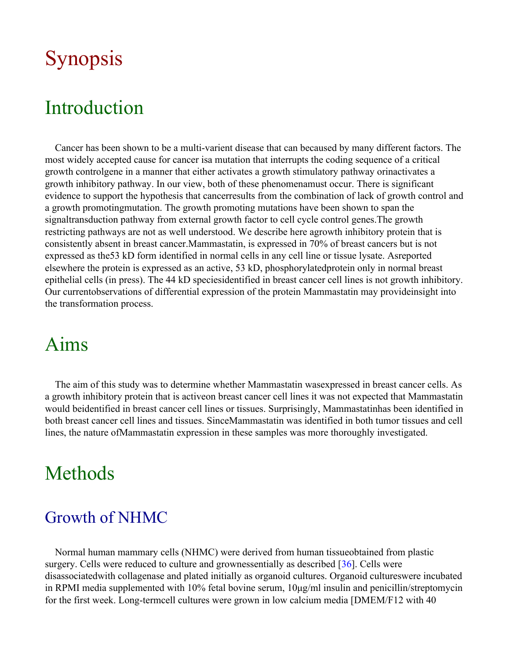# Synopsis

## Introduction

Cancer has been shown to be a multi-varient disease that can becaused by many different factors. The most widely accepted cause for cancer isa mutation that interrupts the coding sequence of a critical growth controlgene in a manner that either activates a growth stimulatory pathway orinactivates a growth inhibitory pathway. In our view, both of these phenomenamust occur. There is significant evidence to support the hypothesis that cancerresults from the combination of lack of growth control and a growth promotingmutation. The growth promoting mutations have been shown to span the signaltransduction pathway from external growth factor to cell cycle control genes.The growth restricting pathways are not as well understood. We describe here agrowth inhibitory protein that is consistently absent in breast cancer.Mammastatin, is expressed in 70% of breast cancers but is not expressed as the53 kD form identified in normal cells in any cell line or tissue lysate. Asreported elsewhere the protein is expressed as an active, 53 kD, phosphorylatedprotein only in normal breast epithelial cells (in press). The 44 kD speciesidentified in breast cancer cell lines is not growth inhibitory. Our currentobservations of differential expression of the protein Mammastatin may provideinsight into the transformation process.

## Aims

The aim of this study was to determine whether Mammastatin wasexpressed in breast cancer cells. As a growth inhibitory protein that is activeon breast cancer cell lines it was not expected that Mammastatin would beidentified in breast cancer cell lines or tissues. Surprisingly, Mammastatinhas been identified in both breast cancer cell lines and tissues. SinceMammastatin was identified in both tumor tissues and cell lines, the nature ofMammastatin expression in these samples was more thoroughly investigated.

## Methods

#### Growth of NHMC

Normal human mammary cells (NHMC) were derived from human tissueobtained from plastic surgery. Cells were reduced to culture and grownessentially as described [[36](#page-19-0)]. Cells were disassociatedwith collagenase and plated initially as organoid cultures. Organoid cultureswere incubated in RPMI media supplemented with 10% fetal bovine serum, 10μg/ml insulin and penicillin/streptomycin for the first week. Long-termcell cultures were grown in low calcium media [DMEM/F12 with 40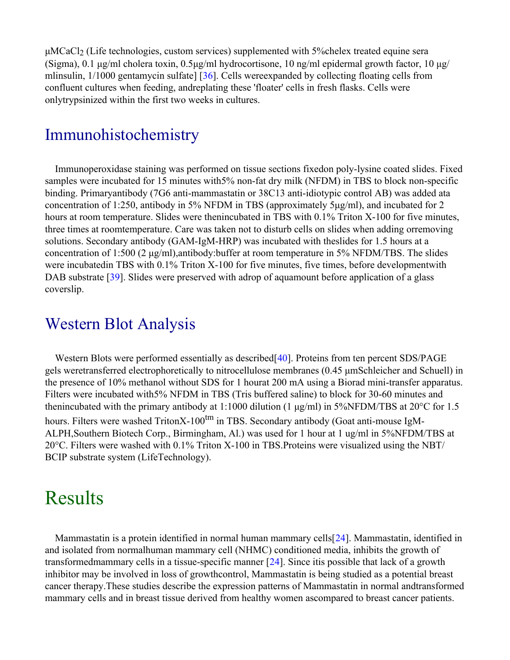μMCaCl2 (Life technologies, custom services) supplemented with 5%chelex treated equine sera (Sigma), 0.1 μg/ml cholera toxin, 0.5μg/ml hydrocortisone, 10 ng/ml epidermal growth factor, 10 μg/ mlinsulin, 1/1000 gentamycin sulfate] [[36\]](#page-19-0). Cells wereexpanded by collecting floating cells from confluent cultures when feeding, andreplating these 'floater' cells in fresh flasks. Cells were onlytrypsinized within the first two weeks in cultures.

#### Immunohistochemistry

Immunoperoxidase staining was performed on tissue sections fixedon poly-lysine coated slides. Fixed samples were incubated for 15 minutes with5% non-fat dry milk (NFDM) in TBS to block non-specific binding. Primaryantibody (7G6 anti-mammastatin or 38C13 anti-idiotypic control AB) was added ata concentration of 1:250, antibody in 5% NFDM in TBS (approximately 5μg/ml), and incubated for 2 hours at room temperature. Slides were thenincubated in TBS with 0.1% Triton X-100 for five minutes, three times at roomtemperature. Care was taken not to disturb cells on slides when adding orremoving solutions. Secondary antibody (GAM-IgM-HRP) was incubated with theslides for 1.5 hours at a concentration of 1:500 (2 μg/ml),antibody:buffer at room temperature in 5% NFDM/TBS. The slides were incubatedin TBS with 0.1% Triton X-100 for five minutes, five times, before developmentwith DAB substrate [[39\]](#page-19-1). Slides were preserved with adrop of aquamount before application of a glass coverslip.

#### Western Blot Analysis

Western Blots were performed essentially as described [[40](#page-19-2)]. Proteins from ten percent SDS/PAGE gels weretransferred electrophoretically to nitrocellulose membranes (0.45 μmSchleicher and Schuell) in the presence of 10% methanol without SDS for 1 hourat 200 mA using a Biorad mini-transfer apparatus. Filters were incubated with5% NFDM in TBS (Tris buffered saline) to block for 30-60 minutes and thenincubated with the primary antibody at 1:1000 dilution (1 μg/ml) in 5%NFDM/TBS at 20°C for 1.5 hours. Filters were washed TritonX-100<sup>tm</sup> in TBS. Secondary antibody (Goat anti-mouse IgM-ALPH,Southern Biotech Corp., Birmingham, Al.) was used for 1 hour at 1 ug/ml in 5%NFDM/TBS at 20°C. Filters were washed with 0.1% Triton X-100 in TBS.Proteins were visualized using the NBT/ BCIP substrate system (LifeTechnology).

### Results

Mammastatin is a protein identified in normal human mammary cells[[24\]](#page-18-0). Mammastatin, identified in and isolated from normalhuman mammary cell (NHMC) conditioned media, inhibits the growth of transformedmammary cells in a tissue-specific manner [[24\]](#page-18-0). Since itis possible that lack of a growth inhibitor may be involved in loss of growthcontrol, Mammastatin is being studied as a potential breast cancer therapy.These studies describe the expression patterns of Mammastatin in normal andtransformed mammary cells and in breast tissue derived from healthy women ascompared to breast cancer patients.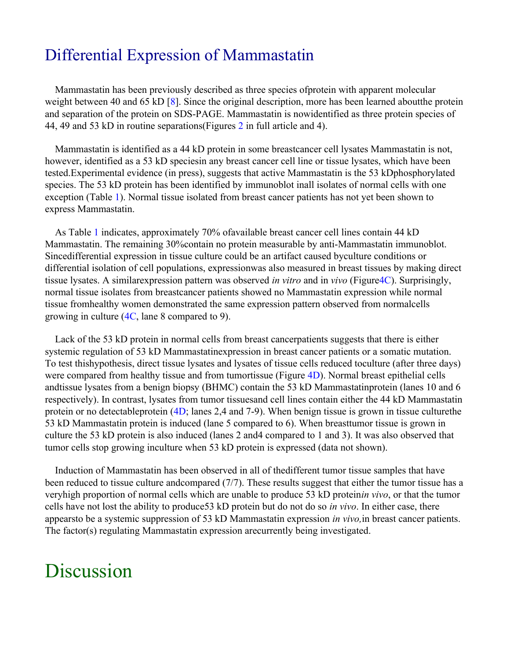#### Differential Expression of Mammastatin

Mammastatin has been previously described as three species ofprotein with apparent molecular weight between 40 and 65 kD [[8\]](#page-17-0). Since the original description, more has been learned aboutthe protein and separation of the protein on SDS-PAGE. Mammastatin is nowidentified as three protein species of 44, 49 and 53 kD in routine separations(Figures 2 in full article and 4).

Mammastatin is identified as a 44 kD protein in some breastcancer cell lysates Mammastatin is not, however, identified as a 53 kD speciesin any breast cancer cell line or tissue lysates, which have been tested.Experimental evidence (in press), suggests that active Mammastatin is the 53 kDphosphorylated species. The 53 kD protein has been identified by immunoblot inall isolates of normal cells with one exception (Table 1). Normal tissue isolated from breast cancer patients has not yet been shown to express Mammastatin.

As Table 1 indicates, approximately 70% ofavailable breast cancer cell lines contain 44 kD Mammastatin. The remaining 30%contain no protein measurable by anti-Mammastatin immunoblot. Sincedifferential expression in tissue culture could be an artifact caused byculture conditions or differential isolation of cell populations, expressionwas also measured in breast tissues by making direct tissue lysates. A similarexpression pattern was observed *in vitro* and in *vivo* (Figure4C). Surprisingly, normal tissue isolates from breastcancer patients showed no Mammastatin expression while normal tissue fromhealthy women demonstrated the same expression pattern observed from normalcells growing in culture (4C, lane 8 compared to 9).

Lack of the 53 kD protein in normal cells from breast cancerpatients suggests that there is either systemic regulation of 53 kD Mammastatinexpression in breast cancer patients or a somatic mutation. To test thishypothesis, direct tissue lysates and lysates of tissue cells reduced toculture (after three days) were compared from healthy tissue and from tumortissue (Figure 4D). Normal breast epithelial cells andtissue lysates from a benign biopsy (BHMC) contain the 53 kD Mammastatinprotein (lanes 10 and 6 respectively). In contrast, lysates from tumor tissuesand cell lines contain either the 44 kD Mammastatin protein or no detectableprotein (4D; lanes 2,4 and 7-9). When benign tissue is grown in tissue culturethe 53 kD Mammastatin protein is induced (lane 5 compared to 6). When breasttumor tissue is grown in culture the 53 kD protein is also induced (lanes 2 and4 compared to 1 and 3). It was also observed that tumor cells stop growing inculture when 53 kD protein is expressed (data not shown).

Induction of Mammastatin has been observed in all of thedifferent tumor tissue samples that have been reduced to tissue culture andcompared (7/7). These results suggest that either the tumor tissue has a veryhigh proportion of normal cells which are unable to produce 53 kD protein*in vivo*, or that the tumor cells have not lost the ability to produce53 kD protein but do not do so *in vivo*. In either case, there appearsto be a systemic suppression of 53 kD Mammastatin expression *in vivo,*in breast cancer patients. The factor(s) regulating Mammastatin expression arecurrently being investigated.

## Discussion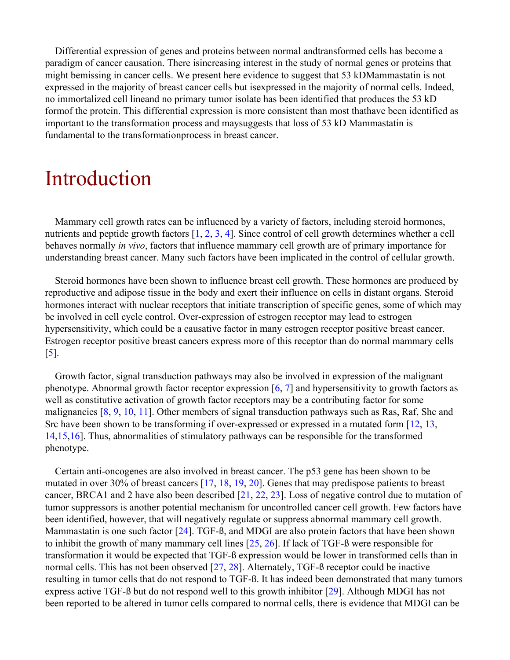Differential expression of genes and proteins between normal andtransformed cells has become a paradigm of cancer causation. There isincreasing interest in the study of normal genes or proteins that might bemissing in cancer cells. We present here evidence to suggest that 53 kDMammastatin is not expressed in the majority of breast cancer cells but isexpressed in the majority of normal cells. Indeed, no immortalized cell lineand no primary tumor isolate has been identified that produces the 53 kD formof the protein. This differential expression is more consistent than most thathave been identified as important to the transformation process and maysuggests that loss of 53 kD Mammastatin is fundamental to the transformationprocess in breast cancer.

## Introduction

Mammary cell growth rates can be influenced by a variety of factors, including steroid hormones, nutrients and peptide growth factors [\[1](#page-16-0), [2](#page-16-1), [3](#page-17-1), [4](#page-17-2)]. Since control of cell growth determines whether a cell behaves normally *in vivo*, factors that influence mammary cell growth are of primary importance for understanding breast cancer. Many such factors have been implicated in the control of cellular growth.

Steroid hormones have been shown to influence breast cell growth. These hormones are produced by reproductive and adipose tissue in the body and exert their influence on cells in distant organs. Steroid hormones interact with nuclear receptors that initiate transcription of specific genes, some of which may be involved in cell cycle control. Over-expression of estrogen receptor may lead to estrogen hypersensitivity, which could be a causative factor in many estrogen receptor positive breast cancer. Estrogen receptor positive breast cancers express more of this receptor than do normal mammary cells [[5\]](#page-17-3).

Growth factor, signal transduction pathways may also be involved in expression of the malignant phenotype. Abnormal growth factor receptor expression  $[6, 7]$  $[6, 7]$  $[6, 7]$  $[6, 7]$  and hypersensitivity to growth factors as well as constitutive activation of growth factor receptors may be a contributing factor for some malignancies [\[8](#page-17-0), [9](#page-17-6), [10](#page-17-7), [11](#page-17-8)]. Other members of signal transduction pathways such as Ras, Raf, Shc and Src have been shown to be transforming if over-expressed or expressed in a mutated form [[12](#page-17-9), [13](#page-17-10), [14](#page-17-11),[15](#page-17-12),[16](#page-17-13)]. Thus, abnormalities of stimulatory pathways can be responsible for the transformed phenotype.

Certain anti-oncogenes are also involved in breast cancer. The p53 gene has been shown to be mutated in over 30% of breast cancers [[17,](#page-18-1) [18,](#page-18-2) [19,](#page-18-3) [20\]](#page-18-4). Genes that may predispose patients to breast cancer, BRCA1 and 2 have also been described [[21,](#page-18-5) [22,](#page-18-6) [23\]](#page-18-7). Loss of negative control due to mutation of tumor suppressors is another potential mechanism for uncontrolled cancer cell growth. Few factors have been identified, however, that will negatively regulate or suppress abnormal mammary cell growth. Mammastatin is one such factor [\[24](#page-18-0)]. TGF-ß, and MDGI are also protein factors that have been shown to inhibit the growth of many mammary cell lines [[25,](#page-18-8) [26\]](#page-18-9). If lack of TGF-ß were responsible for transformation it would be expected that TGF-ß expression would be lower in transformed cells than in normal cells. This has not been observed [[27,](#page-18-10) [28\]](#page-18-11). Alternately, TGF-ß receptor could be inactive resulting in tumor cells that do not respond to TGF-ß. It has indeed been demonstrated that many tumors express active TGF-ß but do not respond well to this growth inhibitor [[29\]](#page-18-12). Although MDGI has not been reported to be altered in tumor cells compared to normal cells, there is evidence that MDGI can be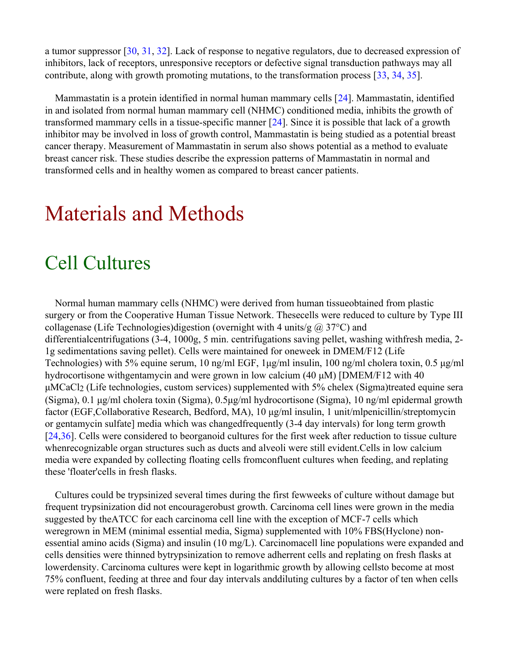a tumor suppressor [\[30](#page-19-3), [31](#page-19-4), [32](#page-19-5)]. Lack of response to negative regulators, due to decreased expression of inhibitors, lack of receptors, unresponsive receptors or defective signal transduction pathways may all contribute, along with growth promoting mutations, to the transformation process [[33,](#page-19-6) [34,](#page-19-7) [35\]](#page-19-8).

Mammastatin is a protein identified in normal human mammary cells [[24\]](#page-18-0). Mammastatin, identified in and isolated from normal human mammary cell (NHMC) conditioned media, inhibits the growth of transformed mammary cells in a tissue-specific manner [[24\]](#page-18-0). Since it is possible that lack of a growth inhibitor may be involved in loss of growth control, Mammastatin is being studied as a potential breast cancer therapy. Measurement of Mammastatin in serum also shows potential as a method to evaluate breast cancer risk. These studies describe the expression patterns of Mammastatin in normal and transformed cells and in healthy women as compared to breast cancer patients.

# Materials and Methods

## Cell Cultures

Normal human mammary cells (NHMC) were derived from human tissueobtained from plastic surgery or from the Cooperative Human Tissue Network. Thesecells were reduced to culture by Type III collagenase (Life Technologies)digestion (overnight with 4 units/g  $\omega$  37°C) and differentialcentrifugations (3-4, 1000g, 5 min. centrifugations saving pellet, washing withfresh media, 2- 1g sedimentations saving pellet). Cells were maintained for oneweek in DMEM/F12 (Life Technologies) with 5% equine serum, 10 ng/ml EGF, 1μg/ml insulin, 100 ng/ml cholera toxin, 0.5 μg/ml hydrocortisone withgentamycin and were grown in low calcium (40 μM) [DMEM/F12 with 40 μMCaCl2 (Life technologies, custom services) supplemented with 5% chelex (Sigma)treated equine sera (Sigma), 0.1 μg/ml cholera toxin (Sigma), 0.5μg/ml hydrocortisone (Sigma), 10 ng/ml epidermal growth factor (EGF,Collaborative Research, Bedford, MA), 10 μg/ml insulin, 1 unit/mlpenicillin/streptomycin or gentamycin sulfate] media which was changedfrequently (3-4 day intervals) for long term growth [[24,](#page-18-0)[36\]](#page-19-0). Cells were considered to beorganoid cultures for the first week after reduction to tissue culture whenrecognizable organ structures such as ducts and alveoli were still evident.Cells in low calcium media were expanded by collecting floating cells fromconfluent cultures when feeding, and replating these 'floater'cells in fresh flasks.

Cultures could be trypsinized several times during the first fewweeks of culture without damage but frequent trypsinization did not encouragerobust growth. Carcinoma cell lines were grown in the media suggested by theATCC for each carcinoma cell line with the exception of MCF-7 cells which weregrown in MEM (minimal essential media, Sigma) supplemented with 10% FBS(Hyclone) nonessential amino acids (Sigma) and insulin (10 mg/L). Carcinomacell line populations were expanded and cells densities were thinned bytrypsinization to remove adherrent cells and replating on fresh flasks at lowerdensity. Carcinoma cultures were kept in logarithmic growth by allowing cellsto become at most 75% confluent, feeding at three and four day intervals anddiluting cultures by a factor of ten when cells were replated on fresh flasks.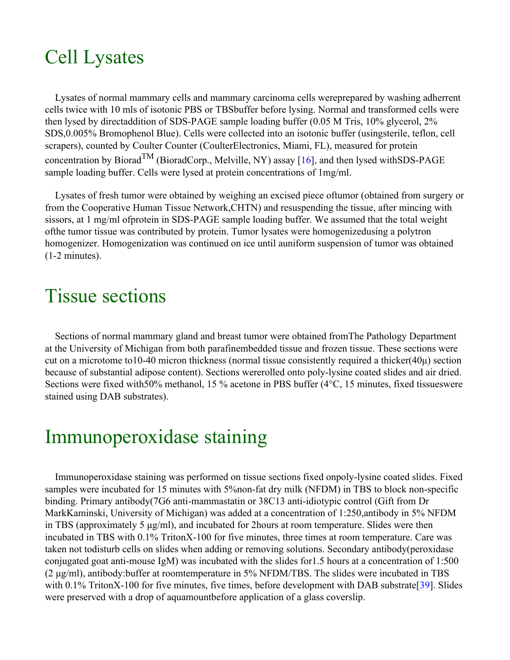## Cell Lysates

Lysates of normal mammary cells and mammary carcinoma cells wereprepared by washing adherrent cells twice with 10 mls of isotonic PBS or TBSbuffer before lysing. Normal and transformed cells were then lysed by directaddition of SDS-PAGE sample loading buffer (0.05 M Tris, 10% glycerol, 2% SDS,0.005% Bromophenol Blue). Cells were collected into an isotonic buffer (usingsterile, teflon, cell scrapers), counted by Coulter Counter (CoulterElectronics, Miami, FL), measured for protein concentration by Biorad<sup>TM</sup> (BioradCorp., Melville, NY) assay [[16\]](#page-17-13), and then lysed withSDS-PAGE sample loading buffer. Cells were lysed at protein concentrations of 1mg/ml.

Lysates of fresh tumor were obtained by weighing an excised piece oftumor (obtained from surgery or from the Cooperative Human Tissue Network,CHTN) and resuspending the tissue, after mincing with sissors, at 1 mg/ml ofprotein in SDS-PAGE sample loading buffer. We assumed that the total weight ofthe tumor tissue was contributed by protein. Tumor lysates were homogenizedusing a polytron homogenizer. Homogenization was continued on ice until auniform suspension of tumor was obtained (1-2 minutes).

### Tissue sections

Sections of normal mammary gland and breast tumor were obtained fromThe Pathology Department at the University of Michigan from both parafinembedded tissue and frozen tissue. These sections were cut on a microtome to 10-40 micron thickness (normal tissue consistently required a thicker( $40\mu$ ) section because of substantial adipose content). Sections wererolled onto poly-lysine coated slides and air dried. Sections were fixed with50% methanol, 15 % acetone in PBS buffer (4°C, 15 minutes, fixed tissueswere stained using DAB substrates).

# Immunoperoxidase staining

Immunoperoxidase staining was performed on tissue sections fixed onpoly-lysine coated slides. Fixed samples were incubated for 15 minutes with 5% non-fat dry milk (NFDM) in TBS to block non-specific binding. Primary antibody(7G6 anti-mammastatin or 38C13 anti-idiotypic control (Gift from Dr MarkKaminski, University of Michigan) was added at a concentration of 1:250,antibody in 5% NFDM in TBS (approximately 5 μg/ml), and incubated for 2hours at room temperature. Slides were then incubated in TBS with 0.1% TritonX-100 for five minutes, three times at room temperature. Care was taken not todisturb cells on slides when adding or removing solutions. Secondary antibody(peroxidase conjugated goat anti-mouse IgM) was incubated with the slides for1.5 hours at a concentration of 1:500 (2 μg/ml), antibody:buffer at roomtemperature in 5% NFDM/TBS. The slides were incubated in TBS with 0.1% TritonX-100 for five minutes, five times, before development with DAB substrate [[39](#page-19-1)]. Slides were preserved with a drop of aquamountbefore application of a glass coverslip.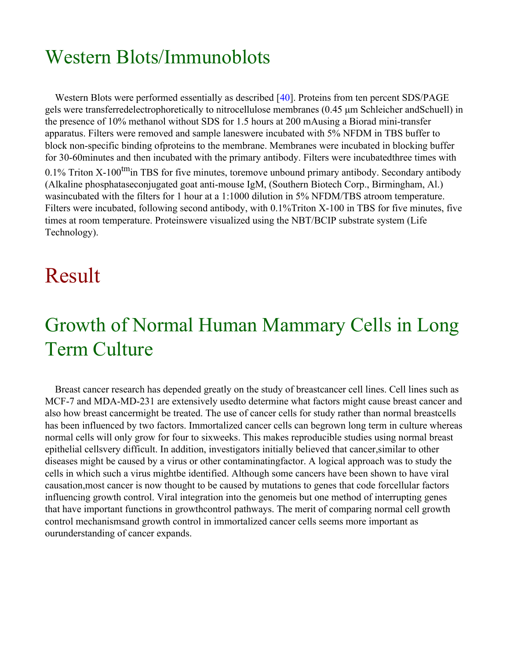# Western Blots/Immunoblots

Western Blots were performed essentially as described [[40](#page-19-2)]. Proteins from ten percent SDS/PAGE gels were transferredelectrophoretically to nitrocellulose membranes (0.45 μm Schleicher andSchuell) in the presence of 10% methanol without SDS for 1.5 hours at 200 mAusing a Biorad mini-transfer apparatus. Filters were removed and sample laneswere incubated with 5% NFDM in TBS buffer to block non-specific binding ofproteins to the membrane. Membranes were incubated in blocking buffer for 30-60minutes and then incubated with the primary antibody. Filters were incubatedthree times with 0.1% Triton X-100<sup>tm</sup>in TBS for five minutes, toremove unbound primary antibody. Secondary antibody (Alkaline phosphataseconjugated goat anti-mouse IgM, (Southern Biotech Corp., Birmingham, Al.) wasincubated with the filters for 1 hour at a 1:1000 dilution in 5% NFDM/TBS atroom temperature. Filters were incubated, following second antibody, with 0.1%Triton X-100 in TBS for five minutes, five times at room temperature. Proteinswere visualized using the NBT/BCIP substrate system (Life Technology).

# Result

# Growth of Normal Human Mammary Cells in Long Term Culture

Breast cancer research has depended greatly on the study of breastcancer cell lines. Cell lines such as MCF-7 and MDA-MD-231 are extensively usedto determine what factors might cause breast cancer and also how breast cancermight be treated. The use of cancer cells for study rather than normal breastcells has been influenced by two factors. Immortalized cancer cells can begrown long term in culture whereas normal cells will only grow for four to sixweeks. This makes reproducible studies using normal breast epithelial cellsvery difficult. In addition, investigators initially believed that cancer,similar to other diseases might be caused by a virus or other contaminatingfactor. A logical approach was to study the cells in which such a virus mightbe identified. Although some cancers have been shown to have viral causation,most cancer is now thought to be caused by mutations to genes that code forcellular factors influencing growth control. Viral integration into the genomeis but one method of interrupting genes that have important functions in growthcontrol pathways. The merit of comparing normal cell growth control mechanismsand growth control in immortalized cancer cells seems more important as ourunderstanding of cancer expands.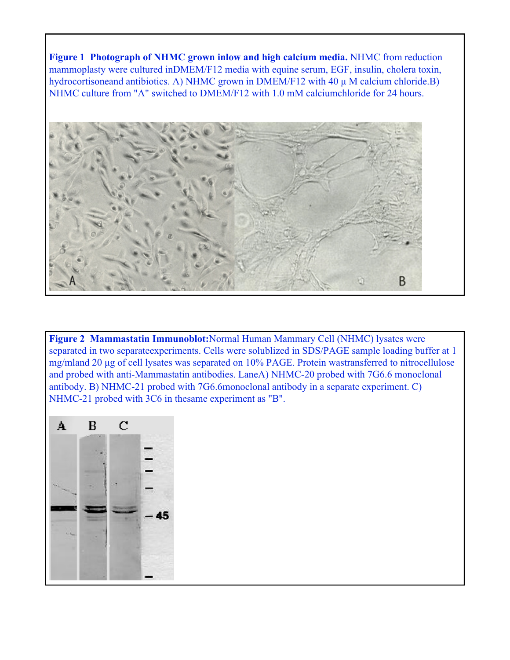**Figure 1 Photograph of NHMC grown inlow and high calcium media.** NHMC from reduction mammoplasty were cultured inDMEM/F12 media with equine serum, EGF, insulin, cholera toxin, hydrocortisoneand antibiotics. A) NHMC grown in DMEM/F12 with 40 μ M calcium chloride.B) NHMC culture from "A" switched to DMEM/F12 with 1.0 mM calciumchloride for 24 hours.



**Figure 2 Mammastatin Immunoblot:**Normal Human Mammary Cell (NHMC) lysates were separated in two separateexperiments. Cells were solublized in SDS/PAGE sample loading buffer at 1 mg/mland 20 μg of cell lysates was separated on 10% PAGE. Protein wastransferred to nitrocellulose and probed with anti-Mammastatin antibodies. LaneA) NHMC-20 probed with 7G6.6 monoclonal antibody. B) NHMC-21 probed with 7G6.6monoclonal antibody in a separate experiment. C) NHMC-21 probed with 3C6 in thesame experiment as "B".

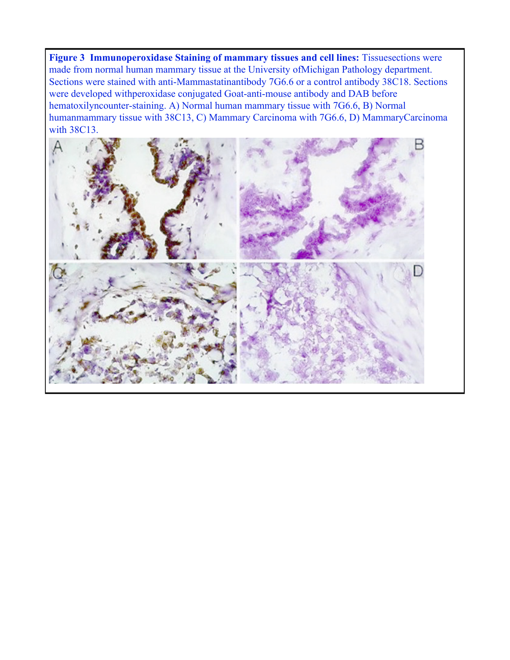**Figure 3 Immunoperoxidase Staining of mammary tissues and cell lines:** Tissuesections were made from normal human mammary tissue at the University ofMichigan Pathology department. Sections were stained with anti-Mammastatinantibody 7G6.6 or a control antibody 38C18. Sections were developed withperoxidase conjugated Goat-anti-mouse antibody and DAB before hematoxilyncounter-staining. A) Normal human mammary tissue with 7G6.6, B) Normal humanmammary tissue with 38C13, C) Mammary Carcinoma with 7G6.6, D) MammaryCarcinoma with 38C13.

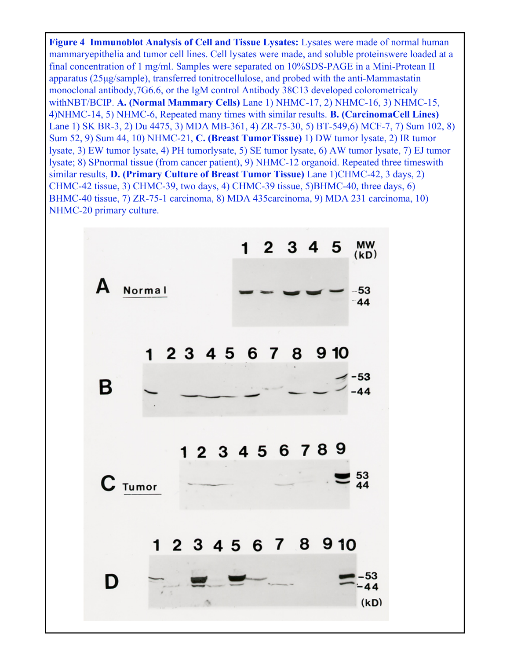**Figure 4 Immunoblot Analysis of Cell and Tissue Lysates:** Lysates were made of normal human mammaryepithelia and tumor cell lines. Cell lysates were made, and soluble proteinswere loaded at a final concentration of 1 mg/ml. Samples were separated on 10%SDS-PAGE in a Mini-Protean II apparatus (25μg/sample), transferred tonitrocellulose, and probed with the anti-Mammastatin monoclonal antibody,7G6.6, or the IgM control Antibody 38C13 developed colorometricaly withNBT/BCIP. **A. (Normal Mammary Cells)** Lane 1) NHMC-17, 2) NHMC-16, 3) NHMC-15, 4)NHMC-14, 5) NHMC-6, Repeated many times with similar results. **B. (CarcinomaCell Lines)** Lane 1) SK BR-3, 2) Du 4475, 3) MDA MB-361, 4) ZR-75-30, 5) BT-549,6) MCF-7, 7) Sum 102, 8) Sum 52, 9) Sum 44, 10) NHMC-21, **C. (Breast TumorTissue)** 1) DW tumor lysate, 2) IR tumor lysate, 3) EW tumor lysate, 4) PH tumorlysate, 5) SE tumor lysate, 6) AW tumor lysate, 7) EJ tumor lysate; 8) SPnormal tissue (from cancer patient), 9) NHMC-12 organoid. Repeated three timeswith similar results, **D. (Primary Culture of Breast Tumor Tissue)** Lane 1)CHMC-42, 3 days, 2) CHMC-42 tissue, 3) CHMC-39, two days, 4) CHMC-39 tissue, 5)BHMC-40, three days, 6) BHMC-40 tissue, 7) ZR-75-1 carcinoma, 8) MDA 435carcinoma, 9) MDA 231 carcinoma, 10) NHMC-20 primary culture.

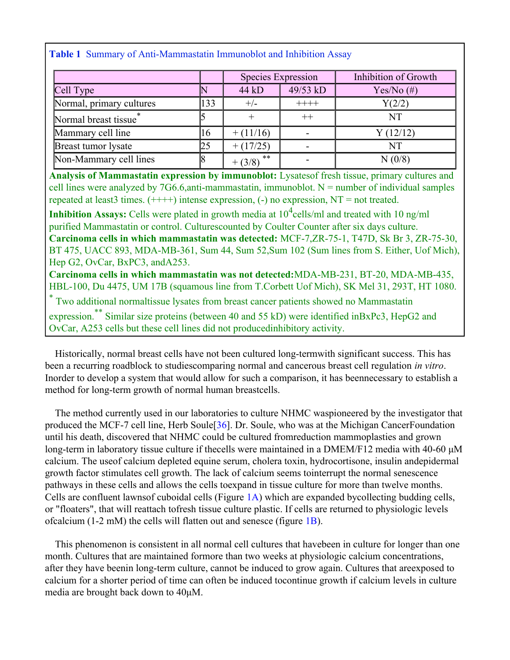|  |  | Table 1 Summary of Anti-Mammastatin Immunoblot and Inhibition Assay |  |  |  |  |
|--|--|---------------------------------------------------------------------|--|--|--|--|
|--|--|---------------------------------------------------------------------|--|--|--|--|

|                          |     | Species Expression |          | Inhibition of Growth |  |
|--------------------------|-----|--------------------|----------|----------------------|--|
| Cell Type                |     | 44 kD              | 49/53 kD | Yes/No $(\#)$        |  |
| Normal, primary cultures | 133 | $+/-$              | $++++$   | Y(2/2)               |  |
| Normal breast tissue     |     |                    |          | NT                   |  |
| Mammary cell line        | 16  | $+ (11/16)$        |          | Y(12/12)             |  |
| Breast tumor lysate      | 25  | $+ (17/25)$        |          | <b>NT</b>            |  |
| Non-Mammary cell lines   |     | $***$<br>$+ (3/8)$ |          | N(0/8)               |  |

**Analysis of Mammastatin expression by immunoblot:** Lysatesof fresh tissue, primary cultures and cell lines were analyzed by 7G6.6,anti-mammastatin, immunoblot.  $N =$  number of individual samples repeated at least 3 times.  $(+++)$  intense expression,  $(-)$  no expression, NT = not treated.

**Inhibition Assays:** Cells were plated in growth media at  $10^4$ cells/ml and treated with 10 ng/ml purified Mammastatin or control. Culturescounted by Coulter Counter after six days culture. **Carcinoma cells in which mammastatin was detected:** MCF-7,ZR-75-1, T47D, Sk Br 3, ZR-75-30, BT 475, UACC 893, MDA-MB-361, Sum 44, Sum 52,Sum 102 (Sum lines from S. Either, Uof Mich), Hep G2, OvCar, BxPC3, andA253. **Carcinoma cells in which mammastatin was not detected:**MDA-MB-231, BT-20, MDA-MB-435, HBL-100, Du 4475, UM 17B (squamous line from T.Corbett Uof Mich), SK Mel 31, 293T, HT 1080. \* Two additional normaltissue lysates from breast cancer patients showed no Mammastatin expression.\*\* Similar size proteins (between 40 and 55 kD) were identified inBxPc3, HepG2 and OvCar, A253 cells but these cell lines did not producedinhibitory activity.

Historically, normal breast cells have not been cultured long-termwith significant success. This has been a recurring roadblock to studiescomparing normal and cancerous breast cell regulation *in vitro*. Inorder to develop a system that would allow for such a comparison, it has beennecessary to establish a method for long-term growth of normal human breastcells.

The method currently used in our labora[tor](#page-19-0)ies to culture NHMC waspioneered by the investigator that produced the MCF-7 cell line, Herb Soule[36]. Dr. Soule, who was at the Michigan CancerFoundation until his death, discovered that NHMC could be cultured fromreduction mammoplasties and grown long-term in laboratory tissue culture if thecells were maintained in a DMEM/F12 media with 40-60 μM calcium. The useof calcium depleted equine serum, cholera toxin, hydrocortisone, insulin andepidermal growth factor stimulates cell growth. The lack of calcium seems tointerrupt the normal senescence pathways in these cells and allows the cells toexpand in tissue culture for more than twelve months. Cells are confluent lawnsof cuboidal cells (Figure 1A) which are expanded bycollecting budding cells, or "floaters", that will reattach tofresh tissue culture plastic. If cells are returned to physiologic levels ofcalcium (1-2 mM) the cells will flatten out and senesce (figure 1B).

This phenomenon is consistent in all normal cell cultures that havebeen in culture for longer than one month. Cultures that are maintained formore than two weeks at physiologic calcium concentrations, after they have beenin long-term culture, cannot be induced to grow again. Cultures that areexposed to calcium for a shorter period of time can often be induced tocontinue growth if calcium levels in culture media are brought back down to 40μM.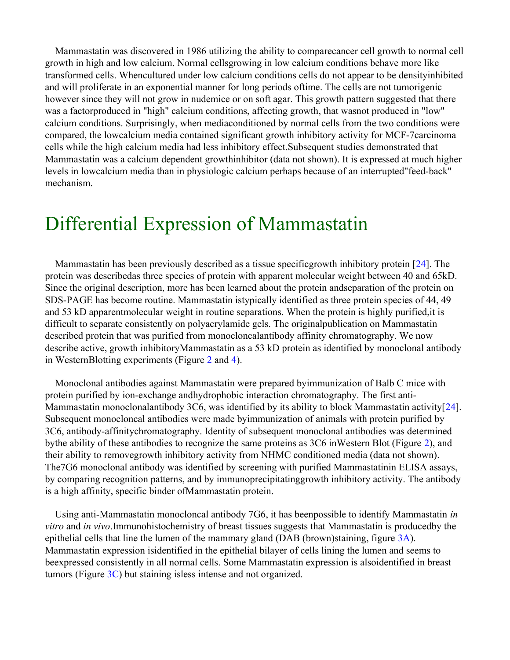Mammastatin was discovered in 1986 utilizing the ability to comparecancer cell growth to normal cell growth in high and low calcium. Normal cellsgrowing in low calcium conditions behave more like transformed cells. Whencultured under low calcium conditions cells do not appear to be densityinhibited and will proliferate in an exponential manner for long periods oftime. The cells are not tumorigenic however since they will not grow in nudemice or on soft agar. This growth pattern suggested that there was a factorproduced in "high" calcium conditions, affecting growth, that wasnot produced in "low" calcium conditions. Surprisingly, when mediaconditioned by normal cells from the two conditions were compared, the lowcalcium media contained significant growth inhibitory activity for MCF-7carcinoma cells while the high calcium media had less inhibitory effect.Subsequent studies demonstrated that Mammastatin was a calcium dependent growthinhibitor (data not shown). It is expressed at much higher levels in lowcalcium media than in physiologic calcium perhaps because of an interrupted"feed-back" mechanism.

### Differential Expression of Mammastatin

Mammastatin has been previously described as a tissue specificgrowth inhibitory protein [[24\]](#page-18-0). The protein was describedas three species of protein with apparent molecular weight between 40 and 65kD. Since the original description, more has been learned about the protein andseparation of the protein on SDS-PAGE has become routine. Mammastatin istypically identified as three protein species of 44, 49 and 53 kD apparentmolecular weight in routine separations. When the protein is highly purified,it is difficult to separate consistently on polyacrylamide gels. The originalpublication on Mammastatin described protein that was purified from monocloncalantibody affinity chromatography. We now describe active, growth inhibitoryMammastatin as a 53 kD protein as identified by monoclonal antibody in WesternBlotting experiments (Figure 2 and 4).

Monoclonal antibodies against Mammastatin were prepared byimmunization of Balb C mice with protein purified by ion-exchange andhydrophobic interaction chromatography. The first anti-Mammastatin monoclonalantibody 3C6, was identified by its ability to block Mammastatin activity[[24](#page-18-0)]. Subsequent monocloncal antibodies were made byimmunization of animals with protein purified by 3C6, antibody-affinitychromatography. Identity of subsequent monoclonal antibodies was determined bythe ability of these antibodies to recognize the same proteins as 3C6 inWestern Blot (Figure 2), and their ability to removegrowth inhibitory activity from NHMC conditioned media (data not shown). The7G6 monoclonal antibody was identified by screening with purified Mammastatinin ELISA assays, by comparing recognition patterns, and by immunoprecipitatinggrowth inhibitory activity. The antibody is a high affinity, specific binder ofMammastatin protein.

Using anti-Mammastatin monocloncal antibody 7G6, it has beenpossible to identify Mammastatin *in vitro* and *in vivo*.Immunohistochemistry of breast tissues suggests that Mammastatin is producedby the epithelial cells that line the lumen of the mammary gland (DAB (brown)staining, figure 3A). Mammastatin expression isidentified in the epithelial bilayer of cells lining the lumen and seems to beexpressed consistently in all normal cells. Some Mammastatin expression is alsoidentified in breast tumors (Figure 3C) but staining isless intense and not organized.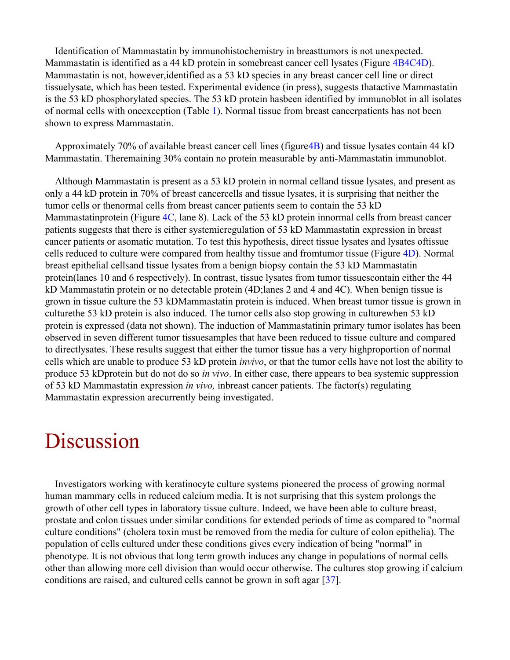Identification of Mammastatin by immunohistochemistry in breasttumors is not unexpected. Mammastatin is identified as a 44 kD protein in somebreast cancer cell lysates (Figure 4B4C4D). Mammastatin is not, however,identified as a 53 kD species in any breast cancer cell line or direct tissuelysate, which has been tested. Experimental evidence (in press), suggests thatactive Mammastatin is the 53 kD phosphorylated species. The 53 kD protein hasbeen identified by immunoblot in all isolates of normal cells with oneexception (Table 1). Normal tissue from breast cancerpatients has not been shown to express Mammastatin.

Approximately 70% of available breast cancer cell lines (figure4B) and tissue lysates contain 44 kD Mammastatin. Theremaining 30% contain no protein measurable by anti-Mammastatin immunoblot.

Although Mammastatin is present as a 53 kD protein in normal celland tissue lysates, and present as only a 44 kD protein in 70% of breast cancercells and tissue lysates, it is surprising that neither the tumor cells or thenormal cells from breast cancer patients seem to contain the 53 kD Mammastatinprotein (Figure 4C, lane 8). Lack of the 53 kD protein innormal cells from breast cancer patients suggests that there is either systemicregulation of 53 kD Mammastatin expression in breast cancer patients or asomatic mutation. To test this hypothesis, direct tissue lysates and lysates oftissue cells reduced to culture were compared from healthy tissue and fromtumor tissue (Figure 4D). Normal breast epithelial cellsand tissue lysates from a benign biopsy contain the 53 kD Mammastatin protein(lanes 10 and 6 respectively). In contrast, tissue lysates from tumor tissuescontain either the 44 kD Mammastatin protein or no detectable protein (4D;lanes 2 and 4 and 4C). When benign tissue is grown in tissue culture the 53 kDMammastatin protein is induced. When breast tumor tissue is grown in culturethe 53 kD protein is also induced. The tumor cells also stop growing in culturewhen 53 kD protein is expressed (data not shown). The induction of Mammastatinin primary tumor isolates has been observed in seven different tumor tissuesamples that have been reduced to tissue culture and compared to directlysates. These results suggest that either the tumor tissue has a very highproportion of normal cells which are unable to produce 53 kD protein *invivo*, or that the tumor cells have not lost the ability to produce 53 kDprotein but do not do so *in vivo*. In either case, there appears to bea systemic suppression of 53 kD Mammastatin expression *in vivo,* inbreast cancer patients. The factor(s) regulating Mammastatin expression arecurrently being investigated.

# Discussion

Investigators working with keratinocyte culture systems pioneered the process of growing normal human mammary cells in reduced calcium media. It is not surprising that this system prolongs the growth of other cell types in laboratory tissue culture. Indeed, we have been able to culture breast, prostate and colon tissues under similar conditions for extended periods of time as compared to "normal culture conditions" (cholera toxin must be removed from the media for culture of colon epithelia). The population of cells cultured under these conditions gives every indication of being "normal" in phenotype. It is not obvious that long term growth induces any change in populations of normal cells other than allowing more cell division than would occur otherwise. The cultures stop growing if calcium conditions are raised, and cultured cells cannot be grown in soft agar [[37\]](#page-19-9).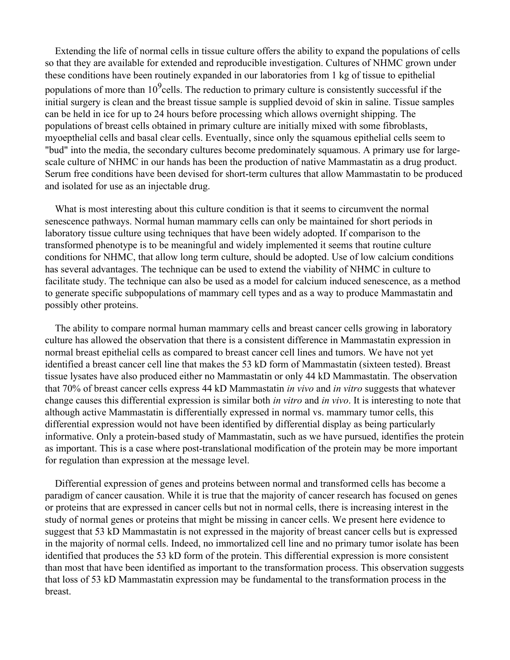Extending the life of normal cells in tissue culture offers the ability to expand the populations of cells so that they are available for extended and reproducible investigation. Cultures of NHMC grown under these conditions have been routinely expanded in our laboratories from 1 kg of tissue to epithelial populations of more than  $10^9$ cells. The reduction to primary culture is consistently successful if the initial surgery is clean and the breast tissue sample is supplied devoid of skin in saline. Tissue samples can be held in ice for up to 24 hours before processing which allows overnight shipping. The populations of breast cells obtained in primary culture are initially mixed with some fibroblasts, myoepthelial cells and basal clear cells. Eventually, since only the squamous epithelial cells seem to "bud" into the media, the secondary cultures become predominately squamous. A primary use for largescale culture of NHMC in our hands has been the production of native Mammastatin as a drug product. Serum free conditions have been devised for short-term cultures that allow Mammastatin to be produced and isolated for use as an injectable drug.

What is most interesting about this culture condition is that it seems to circumvent the normal senescence pathways. Normal human mammary cells can only be maintained for short periods in laboratory tissue culture using techniques that have been widely adopted. If comparison to the transformed phenotype is to be meaningful and widely implemented it seems that routine culture conditions for NHMC, that allow long term culture, should be adopted. Use of low calcium conditions has several advantages. The technique can be used to extend the viability of NHMC in culture to facilitate study. The technique can also be used as a model for calcium induced senescence, as a method to generate specific subpopulations of mammary cell types and as a way to produce Mammastatin and possibly other proteins.

The ability to compare normal human mammary cells and breast cancer cells growing in laboratory culture has allowed the observation that there is a consistent difference in Mammastatin expression in normal breast epithelial cells as compared to breast cancer cell lines and tumors. We have not yet identified a breast cancer cell line that makes the 53 kD form of Mammastatin (sixteen tested). Breast tissue lysates have also produced either no Mammastatin or only 44 kD Mammastatin. The observation that 70% of breast cancer cells express 44 kD Mammastatin *in vivo* and *in vitro* suggests that whatever change causes this differential expression is similar both *in vitro* and *in vivo*. It is interesting to note that although active Mammastatin is differentially expressed in normal vs. mammary tumor cells, this differential expression would not have been identified by differential display as being particularly informative. Only a protein-based study of Mammastatin, such as we have pursued, identifies the protein as important. This is a case where post-translational modification of the protein may be more important for regulation than expression at the message level.

Differential expression of genes and proteins between normal and transformed cells has become a paradigm of cancer causation. While it is true that the majority of cancer research has focused on genes or proteins that are expressed in cancer cells but not in normal cells, there is increasing interest in the study of normal genes or proteins that might be missing in cancer cells. We present here evidence to suggest that 53 kD Mammastatin is not expressed in the majority of breast cancer cells but is expressed in the majority of normal cells. Indeed, no immortalized cell line and no primary tumor isolate has been identified that produces the 53 kD form of the protein. This differential expression is more consistent than most that have been identified as important to the transformation process. This observation suggests that loss of 53 kD Mammastatin expression may be fundamental to the transformation process in the breast.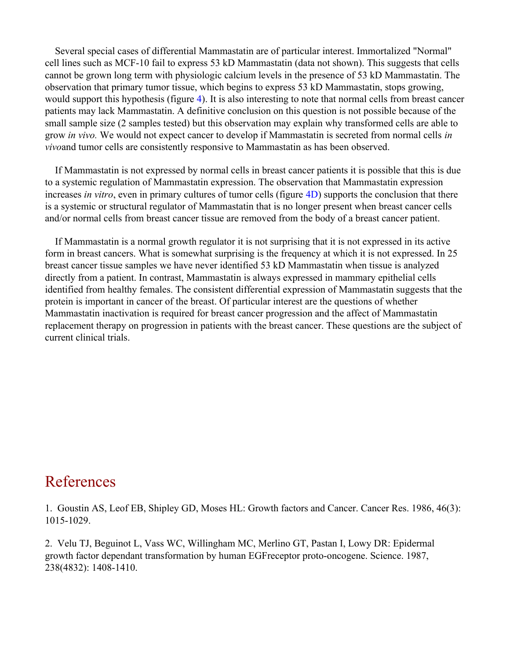Several special cases of differential Mammastatin are of particular interest. Immortalized "Normal" cell lines such as MCF-10 fail to express 53 kD Mammastatin (data not shown). This suggests that cells cannot be grown long term with physiologic calcium levels in the presence of 53 kD Mammastatin. The observation that primary tumor tissue, which begins to express 53 kD Mammastatin, stops growing, would support this hypothesis (figure 4). It is also interesting to note that normal cells from breast cancer patients may lack Mammastatin. A definitive conclusion on this question is not possible because of the small sample size (2 samples tested) but this observation may explain why transformed cells are able to grow *in vivo.* We would not expect cancer to develop if Mammastatin is secreted from normal cells *in vivo*and tumor cells are consistently responsive to Mammastatin as has been observed.

If Mammastatin is not expressed by normal cells in breast cancer patients it is possible that this is due to a systemic regulation of Mammastatin expression. The observation that Mammastatin expression increases *in vitro*, even in primary cultures of tumor cells (figure 4D) supports the conclusion that there is a systemic or structural regulator of Mammastatin that is no longer present when breast cancer cells and/or normal cells from breast cancer tissue are removed from the body of a breast cancer patient.

If Mammastatin is a normal growth regulator it is not surprising that it is not expressed in its active form in breast cancers. What is somewhat surprising is the frequency at which it is not expressed. In 25 breast cancer tissue samples we have never identified 53 kD Mammastatin when tissue is analyzed directly from a patient. In contrast, Mammastatin is always expressed in mammary epithelial cells identified from healthy females. The consistent differential expression of Mammastatin suggests that the protein is important in cancer of the breast. Of particular interest are the questions of whether Mammastatin inactivation is required for breast cancer progression and the affect of Mammastatin replacement therapy on progression in patients with the breast cancer. These questions are the subject of current clinical trials.

#### References

<span id="page-16-0"></span>1. Goustin AS, Leof EB, Shipley GD, Moses HL: Growth factors and Cancer. Cancer Res. 1986, 46(3): 1015-1029.

<span id="page-16-1"></span>2. Velu TJ, Beguinot L, Vass WC, Willingham MC, Merlino GT, Pastan I, Lowy DR: Epidermal growth factor dependant transformation by human EGFreceptor proto-oncogene. Science. 1987, 238(4832): 1408-1410.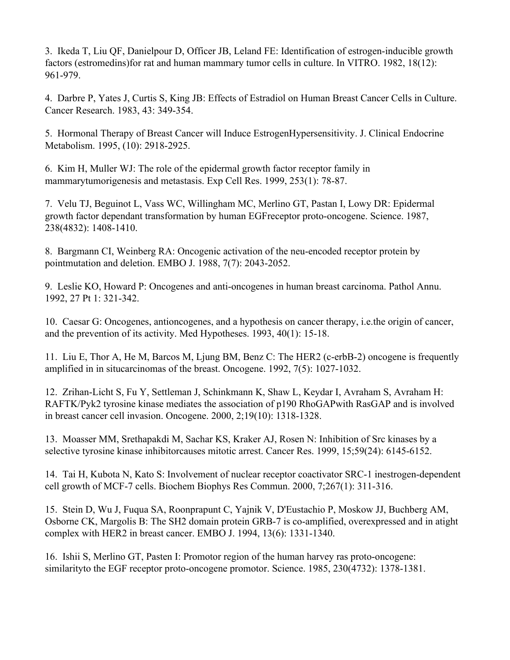<span id="page-17-1"></span>3. Ikeda T, Liu QF, Danielpour D, Officer JB, Leland FE: Identification of estrogen-inducible growth factors (estromedins)for rat and human mammary tumor cells in culture. In VITRO. 1982, 18(12): 961-979.

<span id="page-17-2"></span>4. Darbre P, Yates J, Curtis S, King JB: Effects of Estradiol on Human Breast Cancer Cells in Culture. Cancer Research. 1983, 43: 349-354.

<span id="page-17-3"></span>5. Hormonal Therapy of Breast Cancer will Induce EstrogenHypersensitivity. J. Clinical Endocrine Metabolism. 1995, (10): 2918-2925.

<span id="page-17-4"></span>6. Kim H, Muller WJ: The role of the epidermal growth factor receptor family in mammarytumorigenesis and metastasis. Exp Cell Res. 1999, 253(1): 78-87.

<span id="page-17-5"></span>7. Velu TJ, Beguinot L, Vass WC, Willingham MC, Merlino GT, Pastan I, Lowy DR: Epidermal growth factor dependant transformation by human EGFreceptor proto-oncogene. Science. 1987, 238(4832): 1408-1410.

<span id="page-17-0"></span>8. Bargmann CI, Weinberg RA: Oncogenic activation of the neu-encoded receptor protein by pointmutation and deletion. EMBO J. 1988, 7(7): 2043-2052.

<span id="page-17-6"></span>9. Leslie KO, Howard P: Oncogenes and anti-oncogenes in human breast carcinoma. Pathol Annu. 1992, 27 Pt 1: 321-342.

<span id="page-17-7"></span>10. Caesar G: Oncogenes, antioncogenes, and a hypothesis on cancer therapy, i.e.the origin of cancer, and the prevention of its activity. Med Hypotheses. 1993, 40(1): 15-18.

<span id="page-17-8"></span>11. Liu E, Thor A, He M, Barcos M, Ljung BM, Benz C: The HER2 (c-erbB-2) oncogene is frequently amplified in in situcarcinomas of the breast. Oncogene. 1992, 7(5): 1027-1032.

<span id="page-17-9"></span>12. Zrihan-Licht S, Fu Y, Settleman J, Schinkmann K, Shaw L, Keydar I, Avraham S, Avraham H: RAFTK/Pyk2 tyrosine kinase mediates the association of p190 RhoGAPwith RasGAP and is involved in breast cancer cell invasion. Oncogene. 2000, 2;19(10): 1318-1328.

<span id="page-17-10"></span>13. Moasser MM, Srethapakdi M, Sachar KS, Kraker AJ, Rosen N: Inhibition of Src kinases by a selective tyrosine kinase inhibitorcauses mitotic arrest. Cancer Res. 1999, 15;59(24): 6145-6152.

<span id="page-17-11"></span>14. Tai H, Kubota N, Kato S: Involvement of nuclear receptor coactivator SRC-1 inestrogen-dependent cell growth of MCF-7 cells. Biochem Biophys Res Commun. 2000, 7;267(1): 311-316.

<span id="page-17-12"></span>15. Stein D, Wu J, Fuqua SA, Roonprapunt C, Yajnik V, D'Eustachio P, Moskow JJ, Buchberg AM, Osborne CK, Margolis B: The SH2 domain protein GRB-7 is co-amplified, overexpressed and in atight complex with HER2 in breast cancer. EMBO J. 1994, 13(6): 1331-1340.

<span id="page-17-13"></span>16. Ishii S, Merlino GT, Pasten I: Promotor region of the human harvey ras proto-oncogene: similarityto the EGF receptor proto-oncogene promotor. Science. 1985, 230(4732): 1378-1381.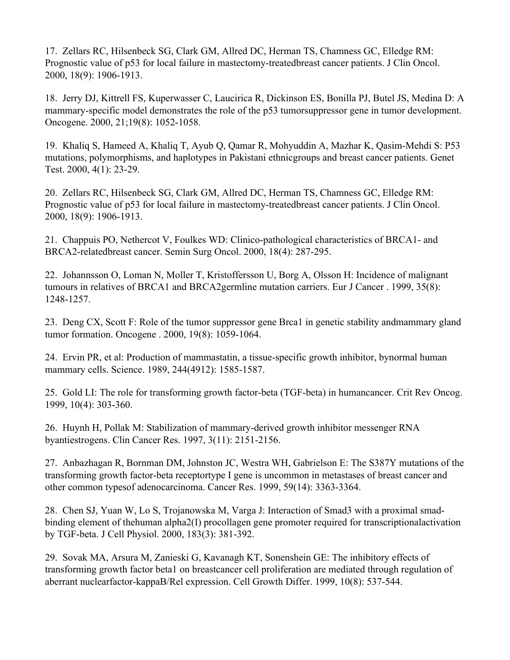<span id="page-18-1"></span>17. Zellars RC, Hilsenbeck SG, Clark GM, Allred DC, Herman TS, Chamness GC, Elledge RM: Prognostic value of p53 for local failure in mastectomy-treatedbreast cancer patients. J Clin Oncol. 2000, 18(9): 1906-1913.

<span id="page-18-2"></span>18. Jerry DJ, Kittrell FS, Kuperwasser C, Laucirica R, Dickinson ES, Bonilla PJ, Butel JS, Medina D: A mammary-specific model demonstrates the role of the p53 tumorsuppressor gene in tumor development. Oncogene. 2000, 21;19(8): 1052-1058.

<span id="page-18-3"></span>19. Khaliq S, Hameed A, Khaliq T, Ayub Q, Qamar R, Mohyuddin A, Mazhar K, Qasim-Mehdi S: P53 mutations, polymorphisms, and haplotypes in Pakistani ethnicgroups and breast cancer patients. Genet Test. 2000, 4(1): 23-29.

<span id="page-18-4"></span>20. Zellars RC, Hilsenbeck SG, Clark GM, Allred DC, Herman TS, Chamness GC, Elledge RM: Prognostic value of p53 for local failure in mastectomy-treatedbreast cancer patients. J Clin Oncol. 2000, 18(9): 1906-1913.

<span id="page-18-5"></span>21. Chappuis PO, Nethercot V, Foulkes WD: Clinico-pathological characteristics of BRCA1- and BRCA2-relatedbreast cancer. Semin Surg Oncol. 2000, 18(4): 287-295.

<span id="page-18-6"></span>22. Johannsson O, Loman N, Moller T, Kristoffersson U, Borg A, Olsson H: Incidence of malignant tumours in relatives of BRCA1 and BRCA2germline mutation carriers. Eur J Cancer . 1999, 35(8): 1248-1257.

<span id="page-18-7"></span>23. Deng CX, Scott F: Role of the tumor suppressor gene Brca1 in genetic stability andmammary gland tumor formation. Oncogene . 2000, 19(8): 1059-1064.

<span id="page-18-0"></span>24. Ervin PR, et al: Production of mammastatin, a tissue-specific growth inhibitor, bynormal human mammary cells. Science. 1989, 244(4912): 1585-1587.

<span id="page-18-8"></span>25. Gold LI: The role for transforming growth factor-beta (TGF-beta) in humancancer. Crit Rev Oncog. 1999, 10(4): 303-360.

<span id="page-18-9"></span>26. Huynh H, Pollak M: Stabilization of mammary-derived growth inhibitor messenger RNA byantiestrogens. Clin Cancer Res. 1997, 3(11): 2151-2156.

<span id="page-18-10"></span>27. Anbazhagan R, Bornman DM, Johnston JC, Westra WH, Gabrielson E: The S387Y mutations of the transforming growth factor-beta receptortype I gene is uncommon in metastases of breast cancer and other common typesof adenocarcinoma. Cancer Res. 1999, 59(14): 3363-3364.

<span id="page-18-11"></span>28. Chen SJ, Yuan W, Lo S, Trojanowska M, Varga J: Interaction of Smad3 with a proximal smadbinding element of thehuman alpha2(I) procollagen gene promoter required for transcriptionalactivation by TGF-beta. J Cell Physiol. 2000, 183(3): 381-392.

<span id="page-18-12"></span>29. Sovak MA, Arsura M, Zanieski G, Kavanagh KT, Sonenshein GE: The inhibitory effects of transforming growth factor beta1 on breastcancer cell proliferation are mediated through regulation of aberrant nuclearfactor-kappaB/Rel expression. Cell Growth Differ. 1999, 10(8): 537-544.